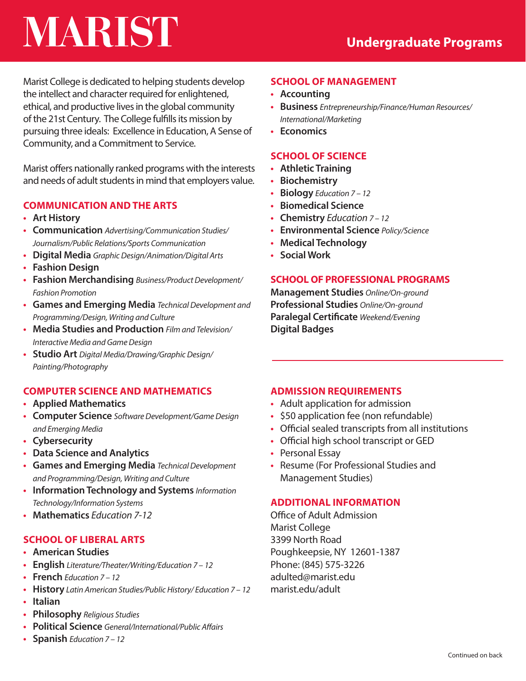# **MARIST**

Marist College is dedicated to helping students develop the intellect and character required for enlightened, ethical, and productive lives in the global community of the 21st Century. The College fulfills its mission by pursuing three ideals: Excellence in Education, A Sense of Community, and a Commitment to Service.

Marist offers nationally ranked programs with the interests and needs of adult students in mind that employers value.

## **COMMUNICATION AND THE ARTS**

- **Art History**
- **Communication** *Advertising/Communication Studies/ Journalism/Public Relations/Sports Communication*
- **Digital Media** *Graphic Design/Animation/Digital Arts*
- **Fashion Design**
- **Fashion Merchandising** *Business/Product Development/ Fashion Promotion*
- **Games and Emerging Media** *Technical Development and Programming/Design, Writing and Culture*
- **Media Studies and Production** *Film and Television/ Interactive Media and Game Design*
- **Studio Art** *Digital Media/Drawing/Graphic Design/ Painting/Photography*

## **COMPUTER SCIENCE AND MATHEMATICS**

- **Applied Mathematics**
- **Computer Science** *Software Development/Game Design and Emerging Media*
- **Cybersecurity**
- **Data Science and Analytics**
- **Games and Emerging Media** *Technical Development and Programming/Design, Writing and Culture*
- **Information Technology and Systems** *Information Technology/Information Systems*
- **Mathematics** *Education 7-12*

# **SCHOOL OF LIBERAL ARTS**

- **American Studies**
- **English** *Literature/Theater/Writing/Education 7 12*
- **French** *Education 7 12*
- **History** *Latin American Studies/Public History/ Education 7 12*
- **Italian**
- **Philosophy** *Religious Studies*
- **Political Science** *General/International/Public Affairs*
- **Spanish** *Education 7 12*

# **SCHOOL OF MANAGEMENT**

- **Accounting**
- **Business** *Entrepreneurship/Finance/Human Resources/ International/Marketing*
- **Economics**

#### **SCHOOL OF SCIENCE**

- **Athletic Training**
- **Biochemistry**
- **Biology** *Education 7 12*
- **Biomedical Science**
- **Chemistry** *Education 7 12*
- **Environmental Science** *Policy/Science*
- **Medical Technology**
- **Social Work**

#### **SCHOOL OF PROFESSIONAL PROGRAMS**

**Management Studies** *Online/On-ground* **Professional Studies** *Online/On-ground* **Paralegal Certificate** *Weekend/Evening* **Digital Badges**

## **ADMISSION REQUIREMENTS**

- Adult application for admission
- \$50 application fee (non refundable)
- Official sealed transcripts from all institutions
- Official high school transcript or GED
- Personal Essay
- Resume (For Professional Studies and Management Studies)

#### **ADDITIONAL INFORMATION**

Office of Adult Admission Marist College 3399 North Road Poughkeepsie, NY 12601-1387 Phone: (845) 575-3226 adulted@marist.edu marist.edu/adult